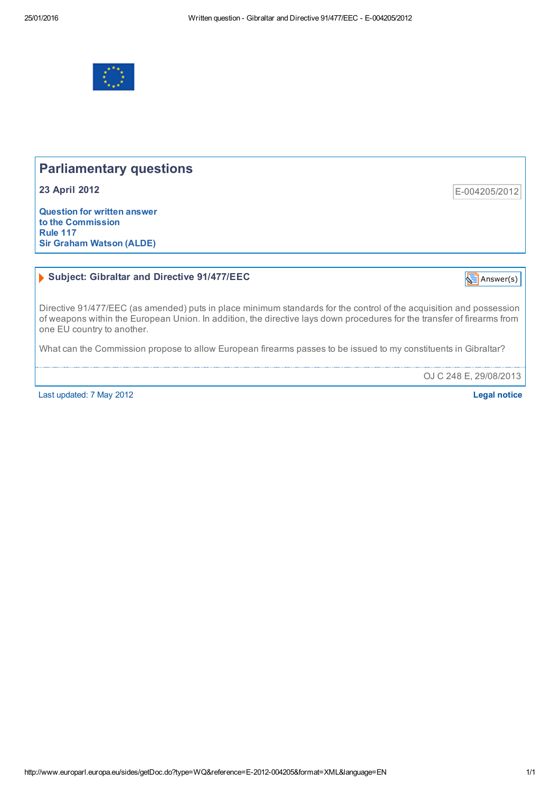

# Parliamentary questions

23 April 2012

Question for written answer to the Commission Rule 117 Sir Graham Watson (ALDE)

### Subject: Gibraltar and Directive 91/477/EEC

IS  $\frac{1}{2}$  [Answer\(s\)](http://www.europarl.europa.eu/sides/getAllAnswers.do?reference=E-2012-004205&language=EN)

E004205/2012

Directive 91/477/EEC (as amended) puts in place minimum standards for the control of the acquisition and possession of weapons within the European Union. In addition, the directive lays down procedures for the transfer of firearms from one EU country to another.

What can the Commission propose to allow European firearms passes to be issued to my constituents in Gibraltar?

OJ C 248 E, 29/08/2013

Last updated: 7 May 2012 Legal [notice](http://www.europarl.europa.eu/tools/disclaimer/default_en.htm)